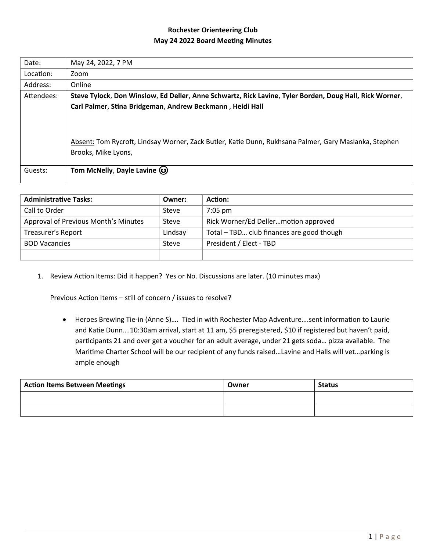# **Rochester Orienteering Club May 24 2022 Board Meeting Minutes**

| Date:      | May 24, 2022, 7 PM                                                                                      |
|------------|---------------------------------------------------------------------------------------------------------|
| Location:  | Zoom                                                                                                    |
| Address:   | Online                                                                                                  |
| Attendees: | Steve Tylock, Don Winslow, Ed Deller, Anne Schwartz, Rick Lavine, Tyler Borden, Doug Hall, Rick Worner, |
|            | Carl Palmer, Stina Bridgeman, Andrew Beckmann, Heidi Hall                                               |
|            |                                                                                                         |
|            |                                                                                                         |
|            | Absent: Tom Rycroft, Lindsay Worner, Zack Butler, Katie Dunn, Rukhsana Palmer, Gary Maslanka, Stephen   |
|            | Brooks, Mike Lyons,                                                                                     |
|            |                                                                                                         |
| Guests:    | Tom McNelly, Dayle Lavine (3)                                                                           |
|            |                                                                                                         |

| <b>Administrative Tasks:</b>         | Owner:  | Action:                                   |
|--------------------------------------|---------|-------------------------------------------|
| Call to Order                        | Steve   | $7:05 \text{ pm}$                         |
| Approval of Previous Month's Minutes | Steve   | Rick Worner/Ed Dellermotion approved      |
| Treasurer's Report                   | Lindsay | Total - TBD club finances are good though |
| <b>BOD Vacancies</b>                 | Steve   | President / Elect - TBD                   |
|                                      |         |                                           |

1. Review Action Items: Did it happen? Yes or No. Discussions are later. (10 minutes max)

Previous Action Items – still of concern / issues to resolve?

 Heroes Brewing Tie-in (Anne S)…. Tied in with Rochester Map Adventure….sent information to Laurie and Katie Dunn….10:30am arrival, start at 11 am, \$5 preregistered, \$10 if registered but haven't paid, participants 21 and over get a voucher for an adult average, under 21 gets soda… pizza available. The Maritime Charter School will be our recipient of any funds raised…Lavine and Halls will vet…parking is ample enough

| <b>Action Items Between Meetings</b> | Owner | <b>Status</b> |
|--------------------------------------|-------|---------------|
|                                      |       |               |
|                                      |       |               |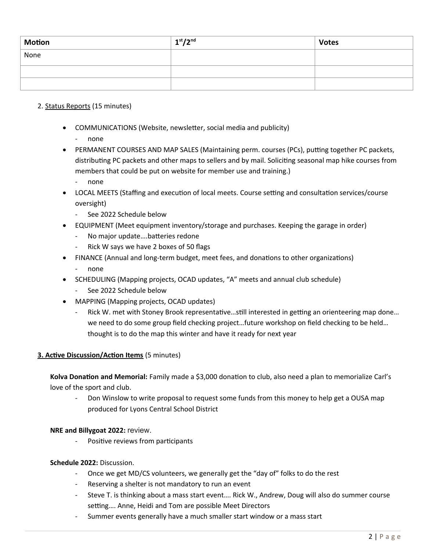| Motion | 1 <sup>st</sup> /2 <sup>nd</sup> | <b>Votes</b> |
|--------|----------------------------------|--------------|
| None   |                                  |              |
|        |                                  |              |
|        |                                  |              |

# 2. Status Reports (15 minutes)

- COMMUNICATIONS (Website, newsletter, social media and publicity)
	- none
- PERMANENT COURSES AND MAP SALES (Maintaining perm. courses (PCs), putting together PC packets, distributing PC packets and other maps to sellers and by mail. Soliciting seasonal map hike courses from members that could be put on website for member use and training.)
	- none
- LOCAL MEETS (Staffing and execution of local meets. Course setting and consultation services/course oversight)
	- See 2022 Schedule below
- EQUIPMENT (Meet equipment inventory/storage and purchases. Keeping the garage in order)
	- No major update....batteries redone
	- Rick W says we have 2 boxes of 50 flags
- FINANCE (Annual and long-term budget, meet fees, and donations to other organizations)
	- none
- SCHEDULING (Mapping projects, OCAD updates, "A" meets and annual club schedule)
	- See 2022 Schedule below
- MAPPING (Mapping projects, OCAD updates)
	- Rick W. met with Stoney Brook representative...still interested in getting an orienteering map done... we need to do some group field checking project...future workshop on field checking to be held... thought is to do the map this winter and have it ready for next year

# **3. Active Discussion/Action Items** (5 minutes)

**Kolva Donation and Memorial:** Family made a \$3,000 donation to club, also need a plan to memorialize Carl's love of the sport and club.

Don Winslow to write proposal to request some funds from this money to help get a OUSA map produced for Lyons Central School District

# **NRE and Billygoat 2022:** review.

Positive reviews from participants

#### **Schedule 2022:** Discussion.

- Once we get MD/CS volunteers, we generally get the "day of" folks to do the rest
- Reserving a shelter is not mandatory to run an event
- Steve T. is thinking about a mass start event…. Rick W., Andrew, Doug will also do summer course setting…. Anne, Heidi and Tom are possible Meet Directors
- Summer events generally have a much smaller start window or a mass start